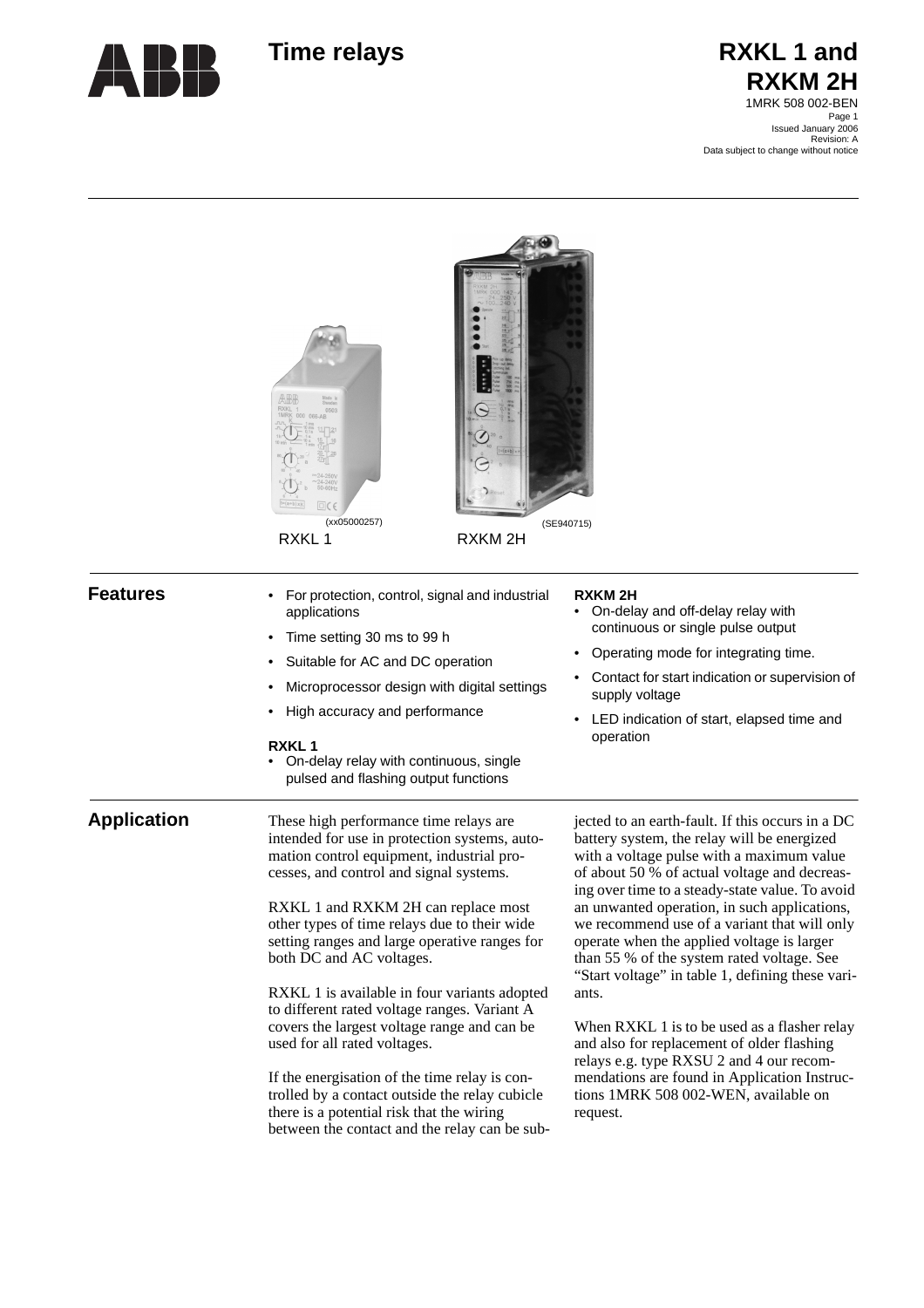

# Time relays **RXKL 1** and **RXKM 2H** 1MRK 508 002-BEN

Page 1 Issued January 2006 Revision: A Data subject to change without notice

|                    | $\Box$ $C$<br>(xx05000257)<br>RXKL1<br>RXKM <sub>2H</sub>                                                                                                                                                                                                                                                                                                                                                                                                                                                                                                                                                                                                                                                                           | (SE940715)                                                                                                                                                                                                                                                                                                                                                                                                                                                                                                                                                                                                                                                                                                                                             |
|--------------------|-------------------------------------------------------------------------------------------------------------------------------------------------------------------------------------------------------------------------------------------------------------------------------------------------------------------------------------------------------------------------------------------------------------------------------------------------------------------------------------------------------------------------------------------------------------------------------------------------------------------------------------------------------------------------------------------------------------------------------------|--------------------------------------------------------------------------------------------------------------------------------------------------------------------------------------------------------------------------------------------------------------------------------------------------------------------------------------------------------------------------------------------------------------------------------------------------------------------------------------------------------------------------------------------------------------------------------------------------------------------------------------------------------------------------------------------------------------------------------------------------------|
| <b>Features</b>    | For protection, control, signal and industrial<br>applications<br>Time setting 30 ms to 99 h<br>Suitable for AC and DC operation<br>Microprocessor design with digital settings<br>High accuracy and performance<br><b>RXKL1</b><br>On-delay relay with continuous, single<br>pulsed and flashing output functions                                                                                                                                                                                                                                                                                                                                                                                                                  | <b>RXKM2H</b><br>On-delay and off-delay relay with<br>continuous or single pulse output<br>Operating mode for integrating time.<br>Contact for start indication or supervision of<br>supply voltage<br>LED indication of start, elapsed time and<br>operation                                                                                                                                                                                                                                                                                                                                                                                                                                                                                          |
| <b>Application</b> | These high performance time relays are<br>intended for use in protection systems, auto-<br>mation control equipment, industrial pro-<br>cesses, and control and signal systems.<br>RXKL 1 and RXKM 2H can replace most<br>other types of time relays due to their wide<br>setting ranges and large operative ranges for<br>both DC and AC voltages.<br>RXKL 1 is available in four variants adopted<br>to different rated voltage ranges. Variant A<br>covers the largest voltage range and can be<br>used for all rated voltages.<br>If the energisation of the time relay is con-<br>trolled by a contact outside the relay cubicle<br>there is a potential risk that the wiring<br>between the contact and the relay can be sub- | jected to an earth-fault. If this occurs in a DC<br>battery system, the relay will be energized<br>with a voltage pulse with a maximum value<br>of about 50 % of actual voltage and decreas-<br>ing over time to a steady-state value. To avoid<br>an unwanted operation, in such applications,<br>we recommend use of a variant that will only<br>operate when the applied voltage is larger<br>than 55 % of the system rated voltage. See<br>"Start voltage" in table 1, defining these vari-<br>ants.<br>When RXKL 1 is to be used as a flasher relay<br>and also for replacement of older flashing<br>relays e.g. type RXSU 2 and 4 our recom-<br>mendations are found in Application Instruc-<br>tions 1MRK 508 002-WEN, available on<br>request. |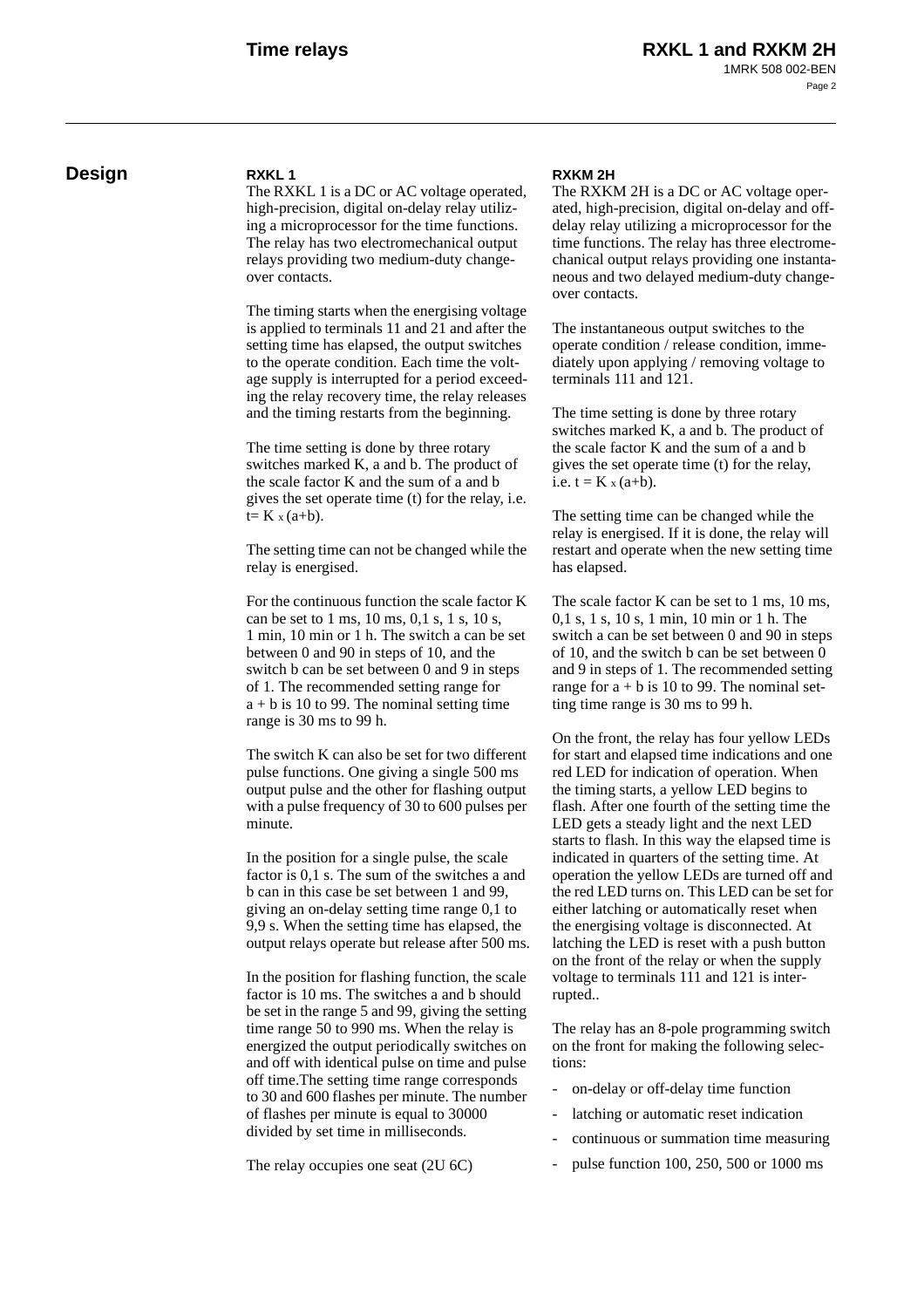# **Design RXKL 1**

The RXKL 1 is a DC or AC voltage operated, high-precision, digital on-delay relay utilizing a microprocessor for the time functions. The relay has two electromechanical output relays providing two medium-duty changeover contacts.

The timing starts when the energising voltage is applied to terminals 11 and 21 and after the setting time has elapsed, the output switches to the operate condition. Each time the voltage supply is interrupted for a period exceeding the relay recovery time, the relay releases and the timing restarts from the beginning.

The time setting is done by three rotary switches marked K, a and b. The product of the scale factor K and the sum of a and b gives the set operate time (t) for the relay, i.e.  $t= K x (a+b)$ .

The setting time can not be changed while the relay is energised.

For the continuous function the scale factor K can be set to 1 ms, 10 ms, 0,1 s, 1 s, 10 s, 1 min, 10 min or 1 h. The switch a can be set between 0 and 90 in steps of 10, and the switch b can be set between 0 and 9 in steps of 1. The recommended setting range for  $a + b$  is 10 to 99. The nominal setting time range is 30 ms to 99 h.

The switch K can also be set for two different pulse functions. One giving a single 500 ms output pulse and the other for flashing output with a pulse frequency of 30 to 600 pulses per minute.

In the position for a single pulse, the scale factor is 0,1 s. The sum of the switches a and b can in this case be set between 1 and 99, giving an on-delay setting time range 0,1 to 9,9 s. When the setting time has elapsed, the output relays operate but release after 500 ms.

In the position for flashing function, the scale factor is 10 ms. The switches a and b should be set in the range 5 and 99, giving the setting time range 50 to 990 ms. When the relay is energized the output periodically switches on and off with identical pulse on time and pulse off time.The setting time range corresponds to 30 and 600 flashes per minute. The number of flashes per minute is equal to 30000 divided by set time in milliseconds.

The relay occupies one seat (2U 6C)

#### **RXKM 2H**

The RXKM 2H is a DC or AC voltage operated, high-precision, digital on-delay and offdelay relay utilizing a microprocessor for the time functions. The relay has three electromechanical output relays providing one instantaneous and two delayed medium-duty changeover contacts.

The instantaneous output switches to the operate condition / release condition, immediately upon applying / removing voltage to terminals 111 and 121.

The time setting is done by three rotary switches marked K, a and b. The product of the scale factor K and the sum of a and b gives the set operate time (t) for the relay, i.e.  $t = K_x (a+b)$ .

The setting time can be changed while the relay is energised. If it is done, the relay will restart and operate when the new setting time has elapsed.

The scale factor K can be set to 1 ms, 10 ms, 0,1 s, 1 s, 10 s, 1 min, 10 min or 1 h. The switch a can be set between 0 and 90 in steps of 10, and the switch b can be set between 0 and 9 in steps of 1. The recommended setting range for  $a + b$  is 10 to 99. The nominal setting time range is 30 ms to 99 h.

On the front, the relay has four yellow LEDs for start and elapsed time indications and one red LED for indication of operation. When the timing starts, a yellow LED begins to flash. After one fourth of the setting time the LED gets a steady light and the next LED starts to flash. In this way the elapsed time is indicated in quarters of the setting time. At operation the yellow LEDs are turned off and the red LED turns on. This LED can be set for either latching or automatically reset when the energising voltage is disconnected. At latching the LED is reset with a push button on the front of the relay or when the supply voltage to terminals 111 and 121 is interrupted..

The relay has an 8-pole programming switch on the front for making the following selections:

- on-delay or off-delay time function
- latching or automatic reset indication
- continuous or summation time measuring
- pulse function 100, 250, 500 or 1000 ms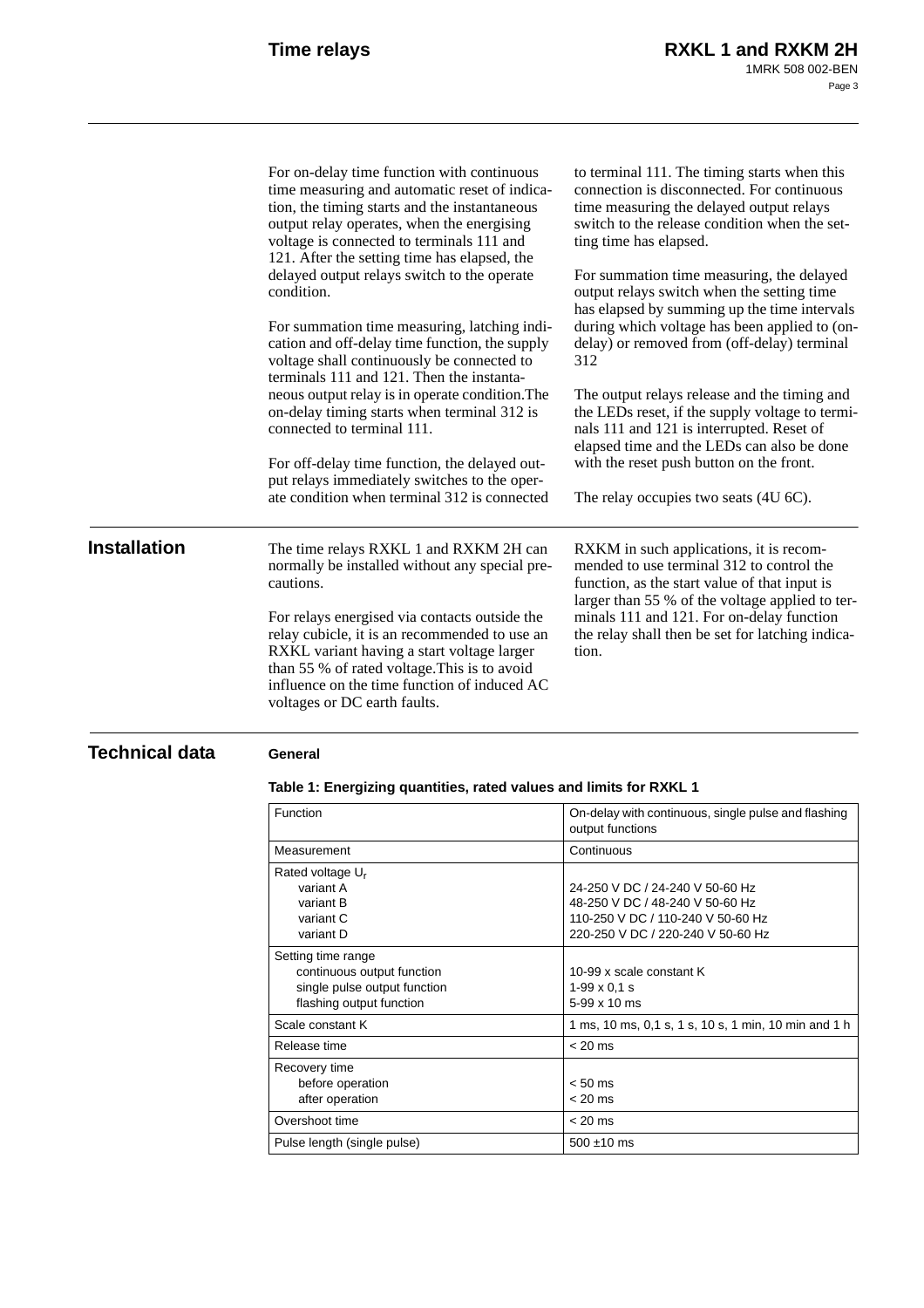|                     | For on-delay time function with continuous<br>time measuring and automatic reset of indica-<br>tion, the timing starts and the instantaneous<br>output relay operates, when the energising<br>voltage is connected to terminals 111 and<br>121. After the setting time has elapsed, the | to terminal 111. The timing starts when this<br>connection is disconnected. For continuous<br>time measuring the delayed output relays<br>switch to the release condition when the set-<br>ting time has elapsed. |
|---------------------|-----------------------------------------------------------------------------------------------------------------------------------------------------------------------------------------------------------------------------------------------------------------------------------------|-------------------------------------------------------------------------------------------------------------------------------------------------------------------------------------------------------------------|
|                     | delayed output relays switch to the operate<br>condition.                                                                                                                                                                                                                               | For summation time measuring, the delayed<br>output relays switch when the setting time<br>has elapsed by summing up the time intervals                                                                           |
|                     | For summation time measuring, latching indi-<br>cation and off-delay time function, the supply<br>voltage shall continuously be connected to<br>terminals 111 and 121. Then the instanta-                                                                                               | during which voltage has been applied to (on-<br>delay) or removed from (off-delay) terminal<br>312                                                                                                               |
|                     | neous output relay is in operate condition. The<br>on-delay timing starts when terminal 312 is<br>connected to terminal 111.                                                                                                                                                            | The output relays release and the timing and<br>the LEDs reset, if the supply voltage to termi-<br>nals 111 and 121 is interrupted. Reset of<br>elapsed time and the LEDs can also be done                        |
|                     | For off-delay time function, the delayed out-<br>put relays immediately switches to the oper-                                                                                                                                                                                           | with the reset push button on the front.                                                                                                                                                                          |
|                     | ate condition when terminal 312 is connected                                                                                                                                                                                                                                            | The relay occupies two seats (4U 6C).                                                                                                                                                                             |
| <b>Installation</b> | The time relays RXKL 1 and RXKM 2H can<br>normally be installed without any special pre-<br>cautions.                                                                                                                                                                                   | RXKM in such applications, it is recom-<br>mended to use terminal 312 to control the<br>function, as the start value of that input is<br>larger than 55 % of the voltage applied to ter-                          |
|                     | For relays energised via contacts outside the<br>relay cubicle, it is an recommended to use an<br>RXKL variant having a start voltage larger<br>than 55 % of rated voltage. This is to avoid<br>influence on the time function of induced AC<br>voltages or DC earth faults.            | minals 111 and 121. For on-delay function<br>the relay shall then be set for latching indica-<br>tion.                                                                                                            |

# **Technical data General**

# **Table 1: Energizing quantities, rated values and limits for RXKL 1**

| Function                                                                                                     | On-delay with continuous, single pulse and flashing<br>output functions                                                                      |
|--------------------------------------------------------------------------------------------------------------|----------------------------------------------------------------------------------------------------------------------------------------------|
| Measurement                                                                                                  | Continuous                                                                                                                                   |
| Rated voltage U <sub>r</sub><br>variant A<br>variant B<br>variant C<br>variant D                             | 24-250 V DC / 24-240 V 50-60 Hz<br>48-250 V DC / 48-240 V 50-60 Hz<br>110-250 V DC / 110-240 V 50-60 Hz<br>220-250 V DC / 220-240 V 50-60 Hz |
| Setting time range<br>continuous output function<br>single pulse output function<br>flashing output function | 10-99 x scale constant K<br>$1-99 \times 0.1$ s<br>$5-99 \times 10 \text{ ms}$                                                               |
| Scale constant K                                                                                             | 1 ms, 10 ms, 0,1 s, 1 s, 10 s, 1 min, 10 min and 1 h                                                                                         |
| Release time                                                                                                 | $< 20$ ms                                                                                                                                    |
| Recovery time<br>before operation<br>after operation                                                         | $< 50$ ms<br>$< 20$ ms                                                                                                                       |
| Overshoot time                                                                                               | $< 20$ ms                                                                                                                                    |
| Pulse length (single pulse)                                                                                  | $500 \pm 10$ ms                                                                                                                              |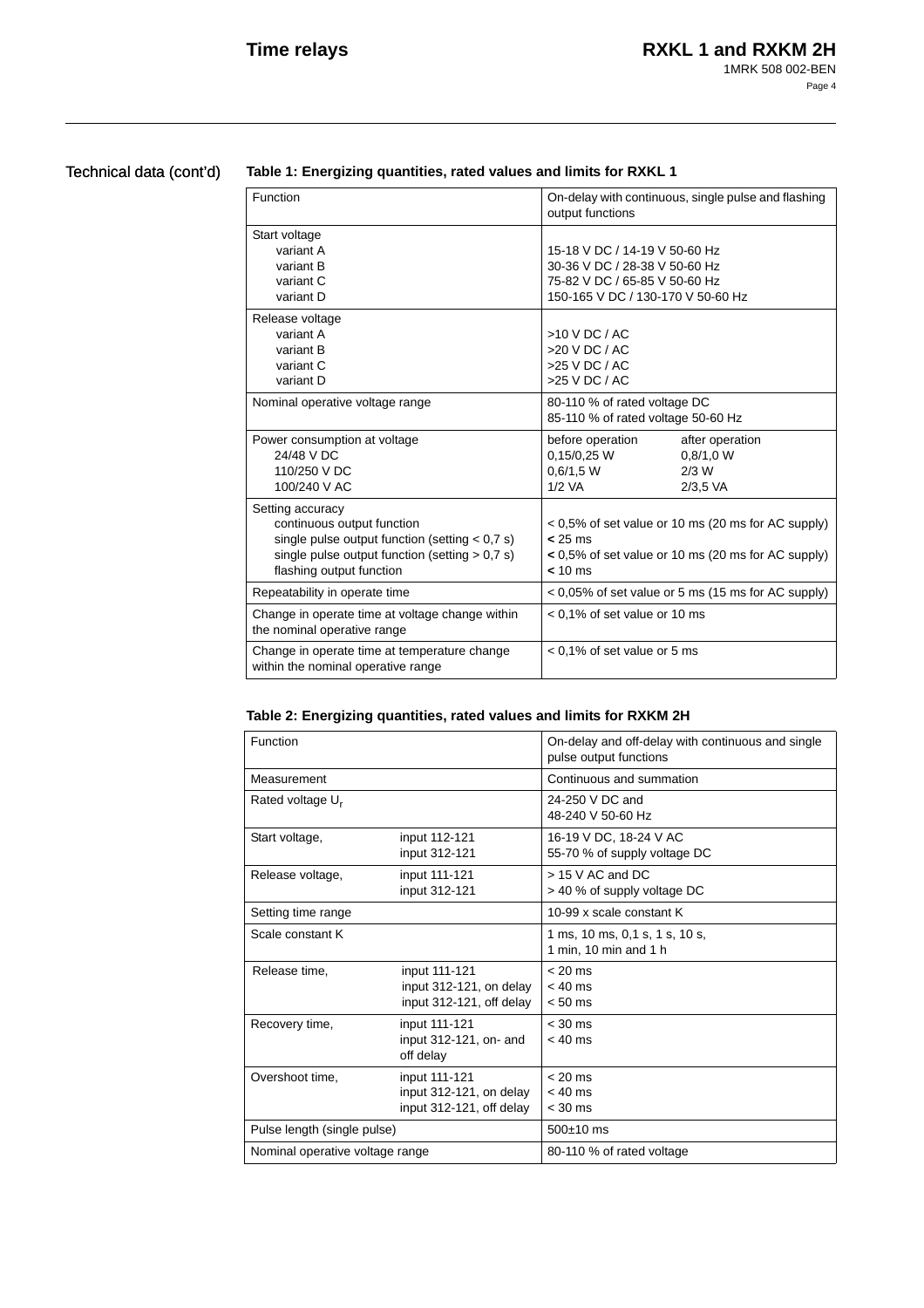# Technical data (cont'd)

## **Table 1: Energizing quantities, rated values and limits for RXKL 1**

| Function                                                                                                                                                                                                                                                                                                                         | On-delay with continuous, single pulse and flashing<br>output functions                                                              |  |
|----------------------------------------------------------------------------------------------------------------------------------------------------------------------------------------------------------------------------------------------------------------------------------------------------------------------------------|--------------------------------------------------------------------------------------------------------------------------------------|--|
| Start voltage<br>variant A<br>variant B<br>variant C<br>variant D                                                                                                                                                                                                                                                                | 15-18 V DC / 14-19 V 50-60 Hz<br>30-36 V DC / 28-38 V 50-60 Hz<br>75-82 V DC / 65-85 V 50-60 Hz<br>150-165 V DC / 130-170 V 50-60 Hz |  |
| Release voltage<br>variant A<br>variant B<br>variant C<br>variant D                                                                                                                                                                                                                                                              | $>10$ V DC / AC<br>$>20$ V DC / AC<br>$>25$ V DC / AC<br>$>25$ V DC / AC                                                             |  |
| Nominal operative voltage range                                                                                                                                                                                                                                                                                                  | 80-110 % of rated voltage DC<br>85-110 % of rated voltage 50-60 Hz                                                                   |  |
| Power consumption at voltage<br>24/48 V DC<br>110/250 V DC<br>100/240 V AC                                                                                                                                                                                                                                                       | before operation<br>after operation<br>0,15/0,25 W<br>0.8/1.0 W<br>0.6/1.5 W<br>$2/3$ W<br>$1/2$ VA<br>$2/3.5$ VA                    |  |
| Setting accuracy<br>continuous output function<br>< 0,5% of set value or 10 ms (20 ms for AC supply)<br>single pulse output function (setting $< 0.7$ s)<br>$< 25 \text{ ms}$<br>single pulse output function (setting $> 0.7$ s)<br>< 0,5% of set value or 10 ms (20 ms for AC supply)<br>flashing output function<br>$< 10$ ms |                                                                                                                                      |  |
| Repeatability in operate time                                                                                                                                                                                                                                                                                                    | $< 0.05\%$ of set value or 5 ms (15 ms for AC supply)                                                                                |  |
| Change in operate time at voltage change within<br>$< 0.1\%$ of set value or 10 ms<br>the nominal operative range                                                                                                                                                                                                                |                                                                                                                                      |  |
| Change in operate time at temperature change<br>within the nominal operative range                                                                                                                                                                                                                                               | $< 0.1\%$ of set value or 5 ms                                                                                                       |  |

# **Table 2: Energizing quantities, rated values and limits for RXKM 2H**

| Function                        |                                                                      | On-delay and off-delay with continuous and single<br>pulse output functions |  |
|---------------------------------|----------------------------------------------------------------------|-----------------------------------------------------------------------------|--|
| Measurement                     |                                                                      | Continuous and summation                                                    |  |
| Rated voltage U <sub>r</sub>    |                                                                      | 24-250 V DC and<br>48-240 V 50-60 Hz                                        |  |
| Start voltage,                  | input 112-121<br>input 312-121                                       | 16-19 V DC, 18-24 V AC<br>55-70 % of supply voltage DC                      |  |
| Release voltage,                | input 111-121<br>input 312-121                                       | $> 15$ V AC and DC<br>> 40 % of supply voltage DC                           |  |
| Setting time range              |                                                                      | 10-99 x scale constant K                                                    |  |
| Scale constant K                |                                                                      | 1 ms, 10 ms, 0,1 s, 1 s, 10 s,<br>1 min. 10 min and 1 h                     |  |
| Release time.                   | input 111-121<br>input 312-121, on delay<br>input 312-121, off delay | $< 20$ ms<br>$< 40$ ms<br>$< 50$ ms                                         |  |
| Recovery time,                  | input 111-121<br>input 312-121, on- and<br>off delay                 | $< 30$ ms<br>$< 40$ ms                                                      |  |
| Overshoot time.                 | input 111-121<br>input 312-121, on delay<br>input 312-121, off delay | $< 20$ ms<br>$< 40$ ms<br>$<$ 30 ms                                         |  |
| Pulse length (single pulse)     |                                                                      | $500\pm10$ ms                                                               |  |
| Nominal operative voltage range |                                                                      | 80-110 % of rated voltage                                                   |  |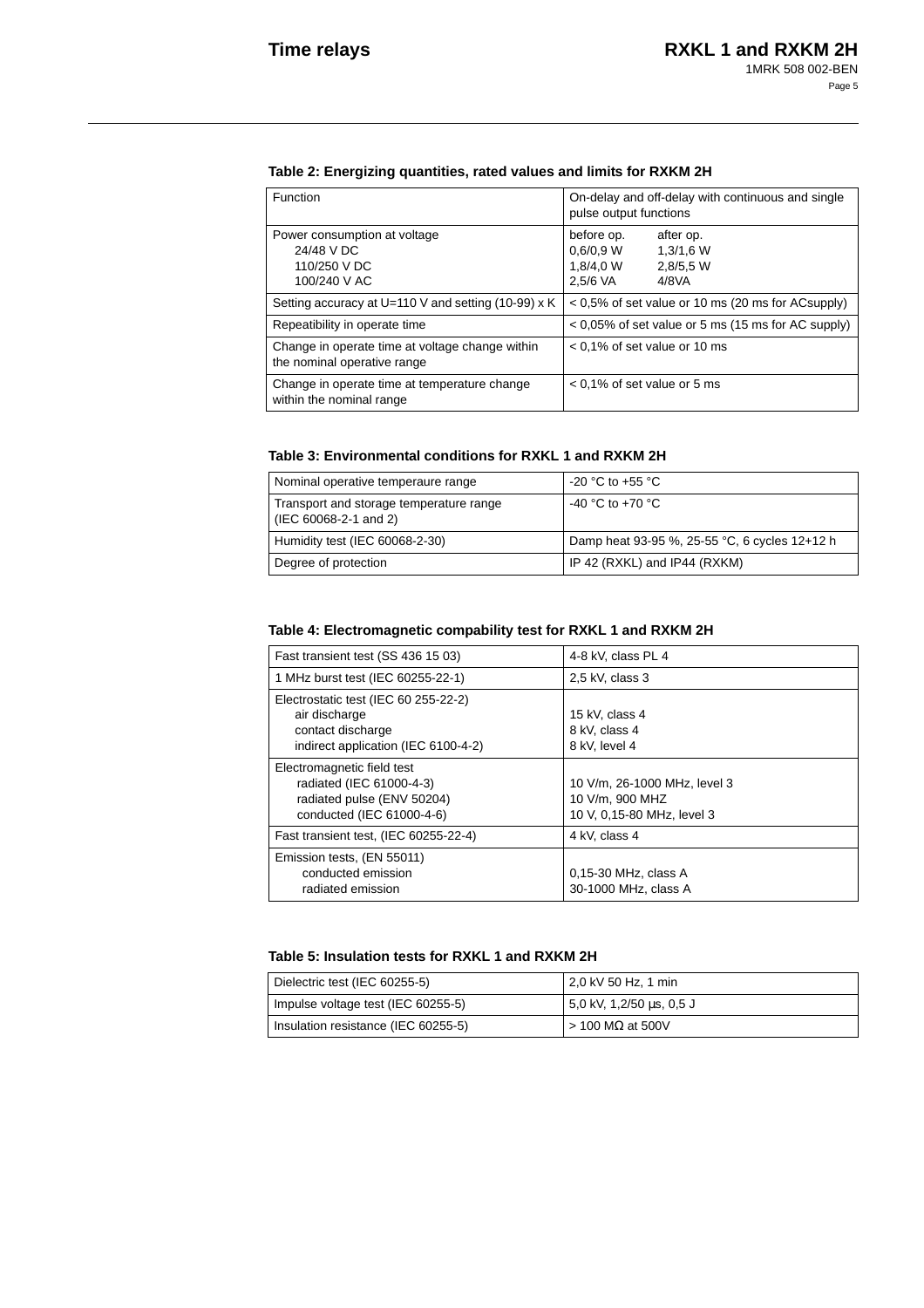## **Table 2: Energizing quantities, rated values and limits for RXKM 2H**

| Function                                                                       | On-delay and off-delay with continuous and single<br>pulse output functions                      |  |
|--------------------------------------------------------------------------------|--------------------------------------------------------------------------------------------------|--|
| Power consumption at voltage<br>24/48 V DC<br>110/250 V DC<br>100/240 V AC     | before op.<br>after op.<br>0.6/0.9 W<br>1.3/1.6 W<br>1,8/4,0 W<br>2.8/5.5 W<br>2.5/6 VA<br>4/8VA |  |
| Setting accuracy at U=110 V and setting (10-99) $\times$ K                     | < 0,5% of set value or 10 ms (20 ms for ACsupply)                                                |  |
| Repeatibility in operate time                                                  | $< 0.05\%$ of set value or 5 ms (15 ms for AC supply)                                            |  |
| Change in operate time at voltage change within<br>the nominal operative range | $< 0.1\%$ of set value or 10 ms                                                                  |  |
| Change in operate time at temperature change<br>within the nominal range       | $< 0.1\%$ of set value or 5 ms                                                                   |  |

#### **Table 3: Environmental conditions for RXKL 1 and RXKM 2H**

| Nominal operative temperaure range                               | -20 °C to +55 °C                              |
|------------------------------------------------------------------|-----------------------------------------------|
| Transport and storage temperature range<br>(IEC 60068-2-1 and 2) | $-40$ °C to $+70$ °C                          |
| Humidity test (IEC 60068-2-30)                                   | Damp heat 93-95 %, 25-55 °C, 6 cycles 12+12 h |
| Degree of protection                                             | IP 42 (RXKL) and IP44 (RXKM)                  |

### **Table 4: Electromagnetic compability test for RXKL 1 and RXKM 2H**

| Fast transient test (SS 436 15 03)                                                                                | 4-8 kV, class PL 4                                                            |
|-------------------------------------------------------------------------------------------------------------------|-------------------------------------------------------------------------------|
| 1 MHz burst test (IEC 60255-22-1)                                                                                 | $2.5$ kV, class 3                                                             |
| Electrostatic test (IEC 60 255-22-2)<br>air discharge<br>contact discharge<br>indirect application (IEC 6100-4-2) | 15 kV, class 4<br>8 kV, class 4<br>8 kV. level 4                              |
| Electromagnetic field test<br>radiated (IEC 61000-4-3)<br>radiated pulse (ENV 50204)<br>conducted (IEC 61000-4-6) | 10 V/m. 26-1000 MHz. level 3<br>10 V/m, 900 MHZ<br>10 V, 0,15-80 MHz, level 3 |
| Fast transient test, (IEC 60255-22-4)                                                                             | 4 kV, class 4                                                                 |
| Emission tests, (EN 55011)<br>conducted emission<br>radiated emission                                             | $0.15-30$ MHz, class A<br>30-1000 MHz, class A                                |

#### **Table 5: Insulation tests for RXKL 1 and RXKM 2H**

| Dielectric test (IEC 60255-5)       | 2,0 kV 50 Hz, 1 min        |
|-------------------------------------|----------------------------|
| Impulse voltage test (IEC 60255-5)  | 5,0 kV, 1,2/50 us, 0,5 J   |
| Insulation resistance (IEC 60255-5) | $> 100$ M $\Omega$ at 500V |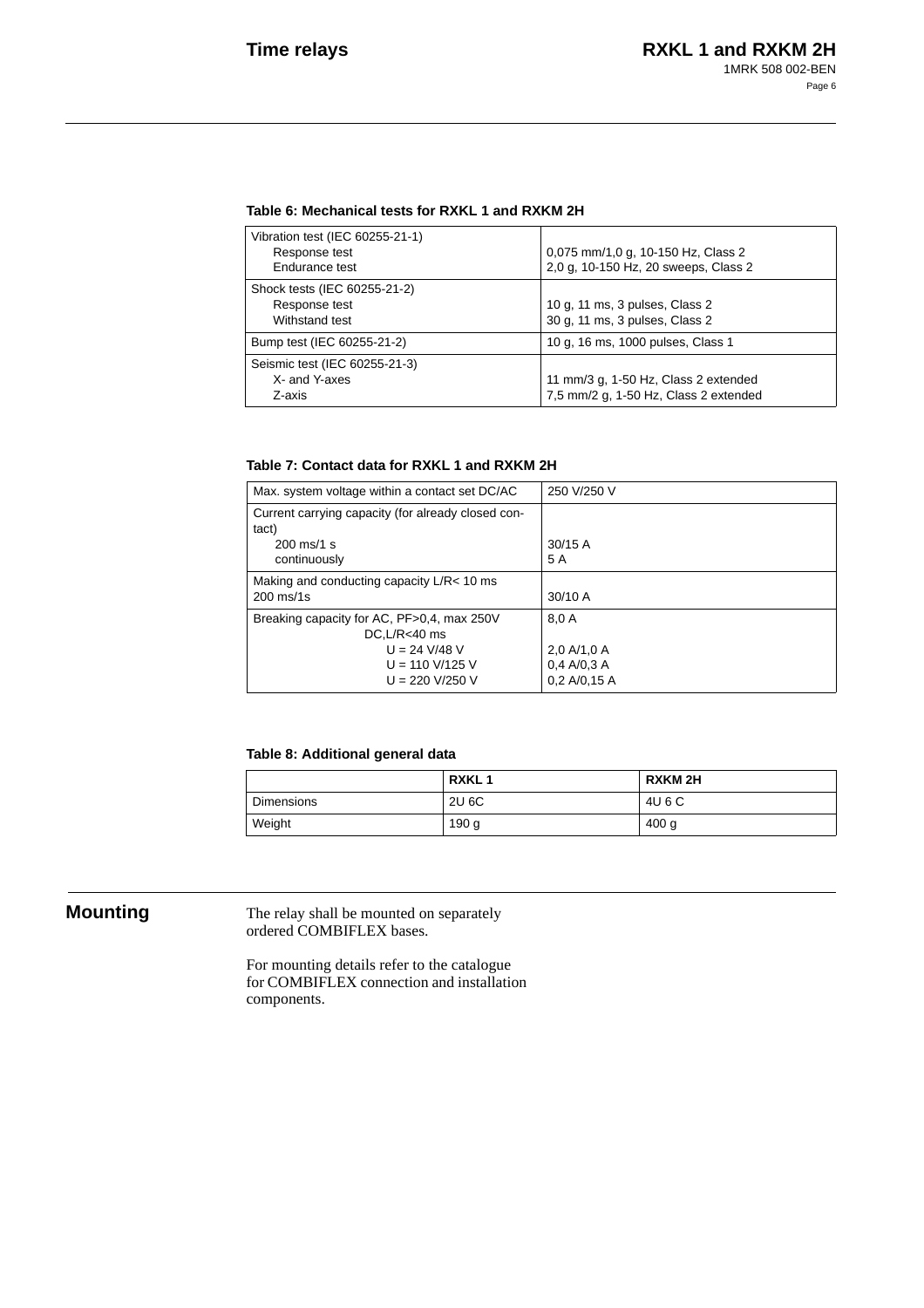#### **Table 6: Mechanical tests for RXKL 1 and RXKM 2H**

| Vibration test (IEC 60255-21-1)<br>Response test<br>Endurance test | 0,075 mm/1,0 g, 10-150 Hz, Class 2<br>2,0 g, 10-150 Hz, 20 sweeps, Class 2    |
|--------------------------------------------------------------------|-------------------------------------------------------------------------------|
| Shock tests (IEC 60255-21-2)<br>Response test<br>Withstand test    | 10 g, 11 ms, 3 pulses, Class 2<br>30 g, 11 ms, 3 pulses, Class 2              |
| Bump test (IEC 60255-21-2)                                         | 10 g, 16 ms, 1000 pulses, Class 1                                             |
| Seismic test (IEC 60255-21-3)<br>X- and Y-axes<br>Z-axis           | 11 mm/3 g, 1-50 Hz, Class 2 extended<br>7,5 mm/2 g, 1-50 Hz, Class 2 extended |

### **Table 7: Contact data for RXKL 1 and RXKM 2H**

| Max. system voltage within a contact set DC/AC                 | 250 V/250 V  |
|----------------------------------------------------------------|--------------|
| Current carrying capacity (for already closed con-<br>tact)    |              |
| $200 \text{ ms}$ /1 s                                          | 30/15A       |
| continuously                                                   | 5 A          |
| Making and conducting capacity L/R< 10 ms                      |              |
| $200$ ms/1s                                                    | $30/10$ A    |
| Breaking capacity for AC, PF>0,4, max 250V<br>$DC.L/R < 40$ ms | 8.0 A        |
| $U = 24$ V/48 V                                                | 2.0 A/1.0 A  |
| $U = 110$ V/125 V                                              | 0.4 A/0.3 A  |
| $U = 220 V/250 V$                                              | 0.2 A/0.15 A |

#### **Table 8: Additional general data**

|                   | <b>RXKL1</b> | <b>RXKM2H</b>    |
|-------------------|--------------|------------------|
| <b>Dimensions</b> | 2U 6C        | 4U 6 C           |
| Weight            | 190 g        | 400 <sub>g</sub> |

**Mounting** The relay shall be mounted on separately ordered COMBIFLEX bases.

> For mounting details refer to the catalogue for COMBIFLEX connection and installation components.